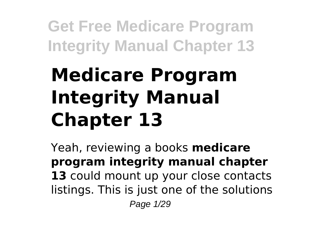# **Medicare Program Integrity Manual Chapter 13**

Yeah, reviewing a books **medicare program integrity manual chapter** 13 could mount up your close contacts listings. This is just one of the solutions Page 1/29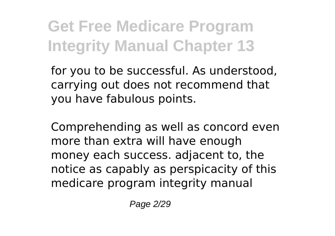for you to be successful. As understood, carrying out does not recommend that you have fabulous points.

Comprehending as well as concord even more than extra will have enough money each success. adjacent to, the notice as capably as perspicacity of this medicare program integrity manual

Page 2/29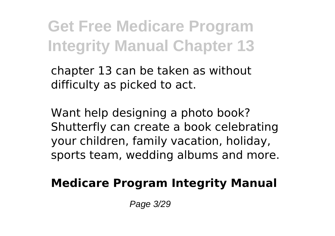chapter 13 can be taken as without difficulty as picked to act.

Want help designing a photo book? Shutterfly can create a book celebrating your children, family vacation, holiday, sports team, wedding albums and more.

#### **Medicare Program Integrity Manual**

Page 3/29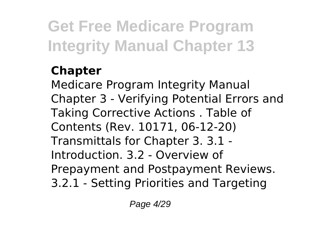### **Chapter**

Medicare Program Integrity Manual Chapter 3 - Verifying Potential Errors and Taking Corrective Actions . Table of Contents (Rev. 10171, 06-12-20) Transmittals for Chapter 3. 3.1 - Introduction. 3.2 - Overview of Prepayment and Postpayment Reviews. 3.2.1 - Setting Priorities and Targeting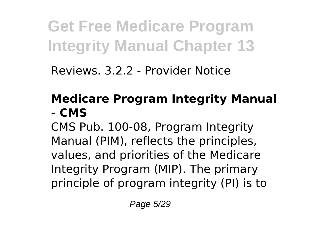Reviews. 3.2.2 - Provider Notice

#### **Medicare Program Integrity Manual - CMS**

CMS Pub. 100-08, Program Integrity Manual (PIM), reflects the principles, values, and priorities of the Medicare Integrity Program (MIP). The primary principle of program integrity (PI) is to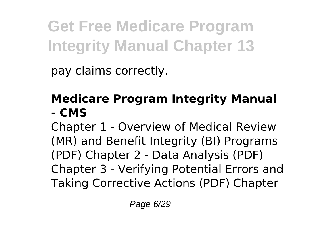pay claims correctly.

#### **Medicare Program Integrity Manual - CMS**

Chapter 1 - Overview of Medical Review (MR) and Benefit Integrity (BI) Programs (PDF) Chapter 2 - Data Analysis (PDF) Chapter 3 - Verifying Potential Errors and Taking Corrective Actions (PDF) Chapter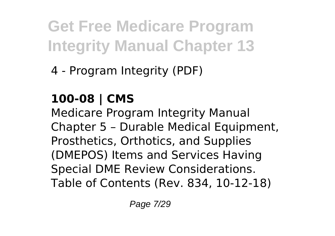4 - Program Integrity (PDF)

### **100-08 | CMS**

Medicare Program Integrity Manual Chapter 5 – Durable Medical Equipment, Prosthetics, Orthotics, and Supplies (DMEPOS) Items and Services Having Special DME Review Considerations. Table of Contents (Rev. 834, 10-12-18)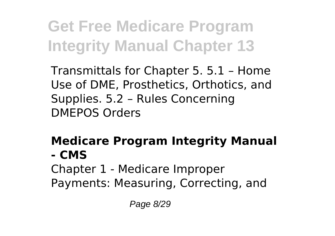Transmittals for Chapter 5. 5.1 – Home Use of DME, Prosthetics, Orthotics, and Supplies. 5.2 – Rules Concerning DMEPOS Orders

#### **Medicare Program Integrity Manual - CMS**

Chapter 1 - Medicare Improper Payments: Measuring, Correcting, and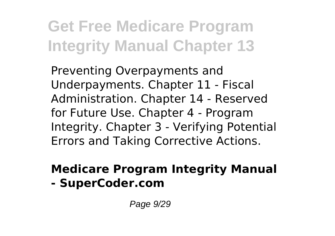Preventing Overpayments and Underpayments. Chapter 11 - Fiscal Administration. Chapter 14 - Reserved for Future Use. Chapter 4 - Program Integrity. Chapter 3 - Verifying Potential Errors and Taking Corrective Actions.

### **Medicare Program Integrity Manual**

**- SuperCoder.com**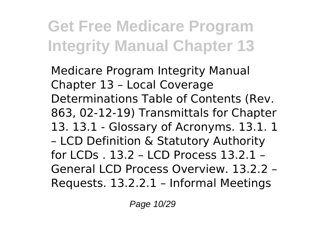Medicare Program Integrity Manual Chapter 13 – Local Coverage Determinations Table of Contents (Rev. 863, 02-12-19) Transmittals for Chapter 13. 13.1 - Glossary of Acronyms. 13.1. 1 – LCD Definition & Statutory Authority for LCDs . 13.2 – LCD Process 13.2.1 – General LCD Process Overview. 13.2.2 – Requests. 13.2.2.1 – Informal Meetings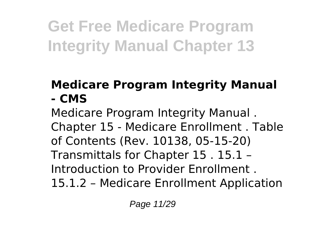#### **Medicare Program Integrity Manual - CMS**

Medicare Program Integrity Manual . Chapter 15 - Medicare Enrollment . Table of Contents (Rev. 10138, 05-15-20) Transmittals for Chapter 15 . 15.1 – Introduction to Provider Enrollment . 15.1.2 – Medicare Enrollment Application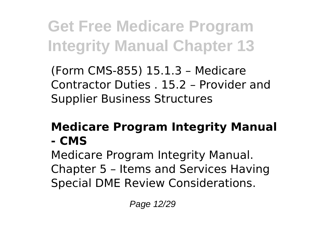(Form CMS-855) 15.1.3 – Medicare Contractor Duties . 15.2 – Provider and Supplier Business Structures

#### **Medicare Program Integrity Manual - CMS**

Medicare Program Integrity Manual. Chapter 5 – Items and Services Having Special DME Review Considerations.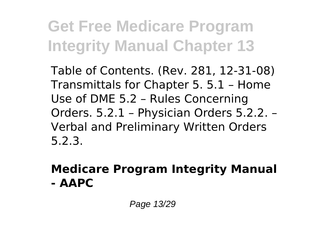Table of Contents. (Rev. 281, 12-31-08) Transmittals for Chapter 5. 5.1 – Home Use of DME 5.2 – Rules Concerning Orders. 5.2.1 – Physician Orders 5.2.2. – Verbal and Preliminary Written Orders 5.2.3.

#### **Medicare Program Integrity Manual - AAPC**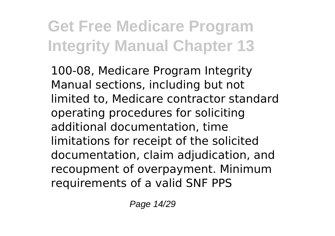100-08, Medicare Program Integrity Manual sections, including but not limited to, Medicare contractor standard operating procedures for soliciting additional documentation, time limitations for receipt of the solicited documentation, claim adjudication, and recoupment of overpayment. Minimum requirements of a valid SNF PPS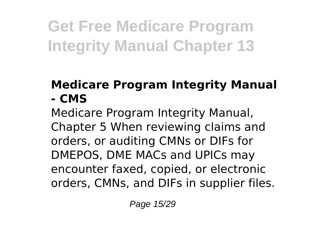#### **Medicare Program Integrity Manual - CMS**

Medicare Program Integrity Manual, Chapter 5 When reviewing claims and orders, or auditing CMNs or DIFs for DMEPOS, DME MACs and UPICs may encounter faxed, copied, or electronic orders, CMNs, and DIFs in supplier files.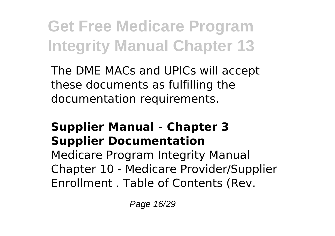The DME MACs and UPICs will accept these documents as fulfilling the documentation requirements.

#### **Supplier Manual - Chapter 3 Supplier Documentation**

Medicare Program Integrity Manual Chapter 10 - Medicare Provider/Supplier Enrollment . Table of Contents (Rev.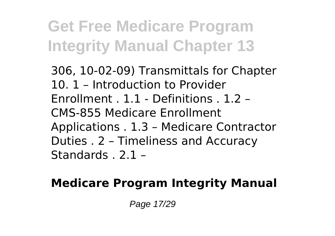306, 10-02-09) Transmittals for Chapter 10. 1 – Introduction to Provider Enrollment . 1.1 - Definitions . 1.2 – CMS-855 Medicare Enrollment Applications . 1.3 – Medicare Contractor Duties . 2 – Timeliness and Accuracy Standards . 2.1 –

#### **Medicare Program Integrity Manual**

Page 17/29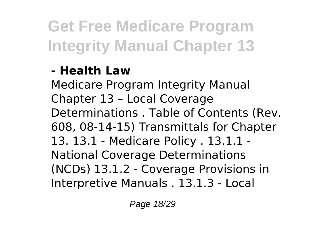#### **- Health Law**

Medicare Program Integrity Manual Chapter 13 – Local Coverage Determinations . Table of Contents (Rev. 608, 08-14-15) Transmittals for Chapter 13. 13.1 - Medicare Policy . 13.1.1 - National Coverage Determinations (NCDs) 13.1.2 - Coverage Provisions in Interpretive Manuals . 13.1.3 - Local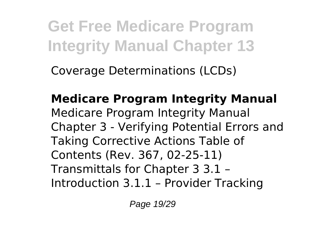Coverage Determinations (LCDs)

**Medicare Program Integrity Manual** Medicare Program Integrity Manual Chapter 3 - Verifying Potential Errors and Taking Corrective Actions Table of Contents (Rev. 367, 02-25-11) Transmittals for Chapter 3 3.1 – Introduction 3.1.1 – Provider Tracking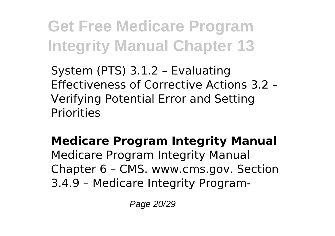System (PTS) 3.1.2 – Evaluating Effectiveness of Corrective Actions 3.2 – Verifying Potential Error and Setting **Priorities** 

**Medicare Program Integrity Manual**

Medicare Program Integrity Manual Chapter 6 – CMS. www.cms.gov. Section 3.4.9 – Medicare Integrity Program-

Page 20/29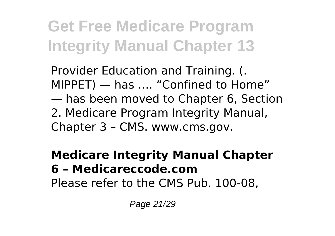Provider Education and Training. (. MIPPET) — has …. "Confined to Home" — has been moved to Chapter 6, Section 2. Medicare Program Integrity Manual, Chapter 3 – CMS. www.cms.gov.

#### **Medicare Integrity Manual Chapter 6 – Medicareccode.com** Please refer to the CMS Pub. 100-08,

Page 21/29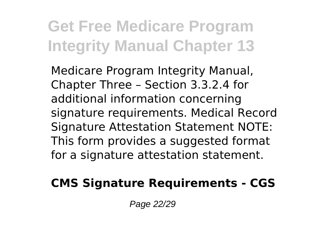Medicare Program Integrity Manual, Chapter Three – Section 3.3.2.4 for additional information concerning signature requirements. Medical Record Signature Attestation Statement NOTE: This form provides a suggested format for a signature attestation statement.

#### **CMS Signature Requirements - CGS**

Page 22/29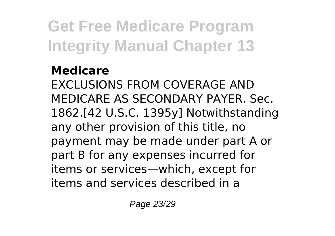#### **Medicare**

EXCLUSIONS FROM COVERAGE AND MEDICARE AS SECONDARY PAYER. Sec. 1862.[42 U.S.C. 1395y] Notwithstanding any other provision of this title, no payment may be made under part A or part B for any expenses incurred for items or services—which, except for items and services described in a

Page 23/29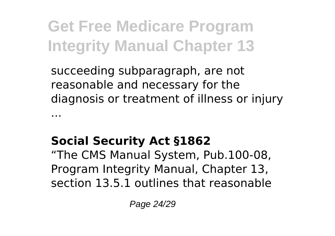succeeding subparagraph, are not reasonable and necessary for the diagnosis or treatment of illness or injury ...

#### **Social Security Act §1862**

"The CMS Manual System, Pub.100-08, Program Integrity Manual, Chapter 13, section 13.5.1 outlines that reasonable

Page 24/29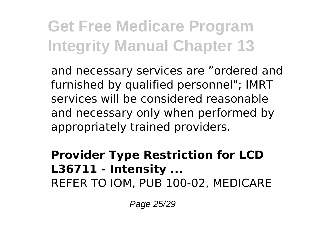and necessary services are "ordered and furnished by qualified personnel"; IMRT services will be considered reasonable and necessary only when performed by appropriately trained providers.

#### **Provider Type Restriction for LCD L36711 - Intensity ...** REFER TO IOM, PUB 100-02, MEDICARE

Page 25/29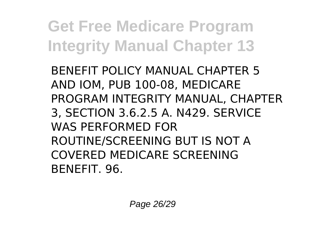BENEFIT POLICY MANUAL CHAPTER 5 AND IOM, PUB 100-08, MEDICARE PROGRAM INTEGRITY MANUAL, CHAPTER 3, SECTION 3.6.2.5 A. N429. SERVICE WAS PERFORMED FOR ROUTINE/SCREENING BUT IS NOT A COVERED MEDICARE SCREENING BENEFIT. 96.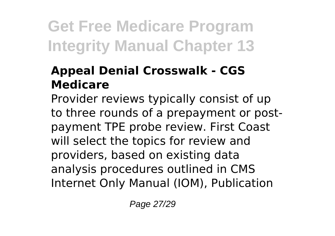#### **Appeal Denial Crosswalk - CGS Medicare**

Provider reviews typically consist of up to three rounds of a prepayment or postpayment TPE probe review. First Coast will select the topics for review and providers, based on existing data analysis procedures outlined in CMS Internet Only Manual (IOM), Publication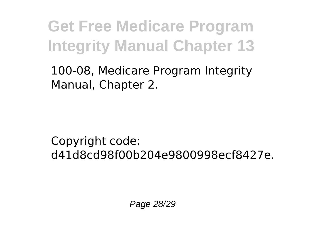100-08, Medicare Program Integrity Manual, Chapter 2.

Copyright code: d41d8cd98f00b204e9800998ecf8427e.

Page 28/29